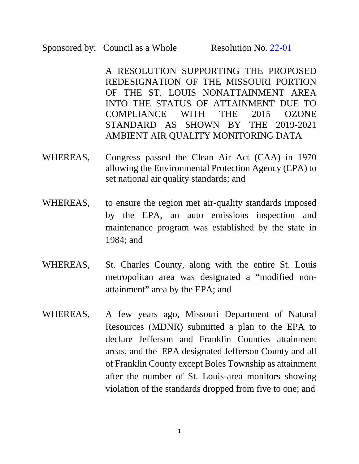A RESOLUTION SUPPORTING THE PROPOSED REDESIGNATION OF THE MISSOURI PORTION OF THE ST. LOUIS NONATTAINMENT AREA INTO THE STATUS OF ATTAINMENT DUE TO COMPLIANCE WITH THE 2015 OZONE STANDARD AS SHOWN BY THE 2019-2021 AMBIENT AIR QUALITY MONITORING DATA

- WHEREAS, Congress passed the Clean Air Act (CAA) in 1970 allowing the Environmental Protection Agency (EPA) to set national air quality standards; and
- WHEREAS, to ensure the region met air-quality standards imposed by the EPA, an auto emissions inspection and maintenance program was established by the state in 1984; and
- WHEREAS, St. Charles County, along with the entire St. Louis metropolitan area was designated a "modified nonattainment" area by the EPA; and
- WHEREAS, A few years ago, Missouri Department of Natural Resources (MDNR) submitted a plan to the EPA to declare Jefferson and Franklin Counties attainment areas, and the EPA designated Jefferson County and all of Franklin County except Boles Township as attainment after the number of St. Louis-area monitors showing violation of the standards dropped from five to one; and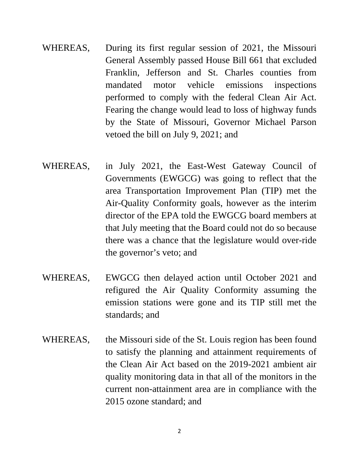- WHEREAS, During its first regular session of 2021, the Missouri General Assembly passed House Bill 661 that excluded Franklin, Jefferson and St. Charles counties from mandated motor vehicle emissions inspections performed to comply with the federal Clean Air Act. Fearing the change would lead to loss of highway funds by the State of Missouri, Governor Michael Parson vetoed the bill on July 9, 2021; and
- WHEREAS, in July 2021, the East-West Gateway Council of Governments (EWGCG) was going to reflect that the area Transportation Improvement Plan (TIP) met the Air-Quality Conformity goals, however as the interim director of the EPA told the EWGCG board members at that July meeting that the Board could not do so because there was a chance that the legislature would over-ride the governor's veto; and
- WHEREAS, EWGCG then delayed action until October 2021 and refigured the Air Quality Conformity assuming the emission stations were gone and its TIP still met the standards; and
- WHEREAS, the Missouri side of the St. Louis region has been found to satisfy the planning and attainment requirements of the Clean Air Act based on the 2019-2021 ambient air quality monitoring data in that all of the monitors in the current non-attainment area are in compliance with the 2015 ozone standard; and